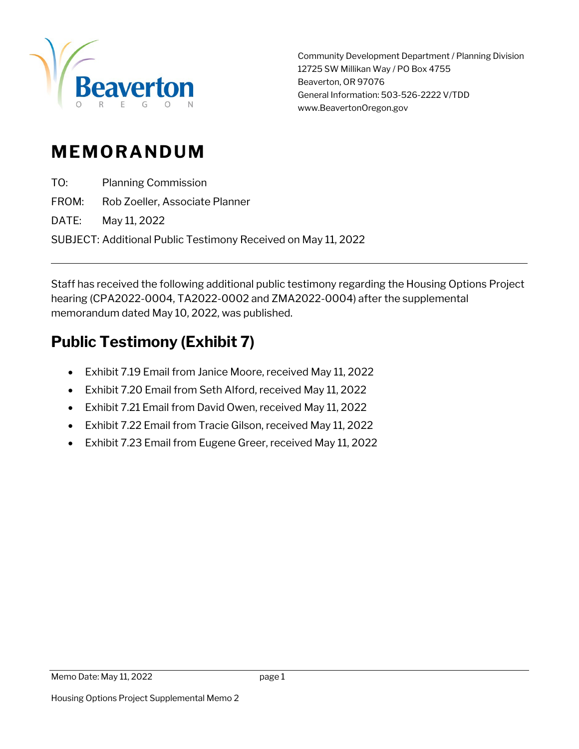

Community Development Department / Planning Division 12725 SW Millikan Way / PO Box 4755 Beaverton, OR 97076 General Information: 503-526-2222 V/TDD www.BeavertonOregon.gov

# **MEMORANDUM**

TO: Planning Commission

FROM: Rob Zoeller, Associate Planner

DATE: May 11, 2022

SUBJECT: Additional Public Testimony Received on May 11, 2022

Staff has received the following additional public testimony regarding the Housing Options Project hearing (CPA2022-0004, TA2022-0002 and ZMA2022-0004) after the supplemental memorandum dated May 10, 2022, was published.

# **Public Testimony (Exhibit 7)**

- Exhibit 7.19 Email from Janice Moore, received May 11, 2022
- Exhibit 7.20 Email from Seth Alford, received May 11, 2022
- Exhibit 7.21 Email from David Owen, received May 11, 2022
- Exhibit 7.22 Email from Tracie Gilson, received May 11, 2022
- Exhibit 7.23 Email from Eugene Greer, received May 11, 2022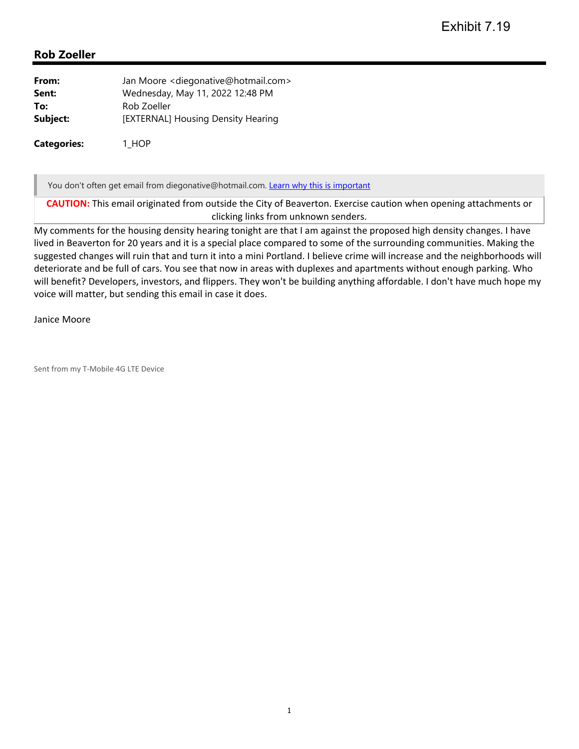| From:    | Jan Moore < diegonative@hotmail.com> |
|----------|--------------------------------------|
| Sent:    | Wednesday, May 11, 2022 12:48 PM     |
| To:      | Rob Zoeller                          |
| Subject: | [EXTERNAL] Housing Density Hearing   |
|          |                                      |

**Categories:** 1\_HOP

You don't often get email from diegonative@hotmail.com. Learn why this is important

**CAUTION:** This email originated from outside the City of Beaverton. Exercise caution when opening attachments or clicking links from unknown senders.

My comments for the housing density hearing tonight are that I am against the proposed high density changes. I have lived in Beaverton for 20 years and it is a special place compared to some of the surrounding communities. Making the suggested changes will ruin that and turn it into a mini Portland. I believe crime will increase and the neighborhoods will deteriorate and be full of cars. You see that now in areas with duplexes and apartments without enough parking. Who will benefit? Developers, investors, and flippers. They won't be building anything affordable. I don't have much hope my voice will matter, but sending this email in case it does.

#### Janice Moore

Sent from my T‐Mobile 4G LTE Device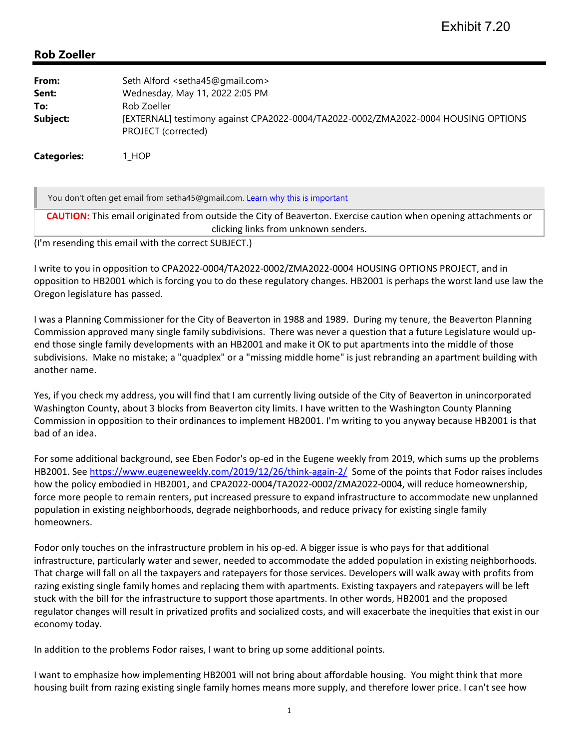| Seth Alford <setha45@gmail.com><br/>Wednesday, May 11, 2022 2:05 PM<br/>Rob Zoeller</setha45@gmail.com>            |
|--------------------------------------------------------------------------------------------------------------------|
| [EXTERNAL] testimony against CPA2022-0004/TA2022-0002/ZMA2022-0004 HOUSING OPTIONS<br>PROJECT (corrected)<br>I HOP |
|                                                                                                                    |

You don't often get email from setha45@gmail.com. Learn why this is important

**CAUTION:** This email originated from outside the City of Beaverton. Exercise caution when opening attachments or clicking links from unknown senders.

(I'm resending this email with the correct SUBJECT.)

I write to you in opposition to CPA2022‐0004/TA2022‐0002/ZMA2022‐0004 HOUSING OPTIONS PROJECT, and in opposition to HB2001 which is forcing you to do these regulatory changes. HB2001 is perhaps the worst land use law the Oregon legislature has passed.

I was a Planning Commissioner for the City of Beaverton in 1988 and 1989. During my tenure, the Beaverton Planning Commission approved many single family subdivisions. There was never a question that a future Legislature would up‐ end those single family developments with an HB2001 and make it OK to put apartments into the middle of those subdivisions. Make no mistake; a "quadplex" or a "missing middle home" is just rebranding an apartment building with another name.

Yes, if you check my address, you will find that I am currently living outside of the City of Beaverton in unincorporated Washington County, about 3 blocks from Beaverton city limits. I have written to the Washington County Planning Commission in opposition to their ordinances to implement HB2001. I'm writing to you anyway because HB2001 is that bad of an idea.

For some additional background, see Eben Fodor's op‐ed in the Eugene weekly from 2019, which sums up the problems HB2001. See https://www.eugeneweekly.com/2019/12/26/think‐again‐2/ Some of the points that Fodor raises includes how the policy embodied in HB2001, and CPA2022‐0004/TA2022‐0002/ZMA2022‐0004, will reduce homeownership, force more people to remain renters, put increased pressure to expand infrastructure to accommodate new unplanned population in existing neighborhoods, degrade neighborhoods, and reduce privacy for existing single family homeowners.

Fodor only touches on the infrastructure problem in his op‐ed. A bigger issue is who pays for that additional infrastructure, particularly water and sewer, needed to accommodate the added population in existing neighborhoods. That charge will fall on all the taxpayers and ratepayers for those services. Developers will walk away with profits from razing existing single family homes and replacing them with apartments. Existing taxpayers and ratepayers will be left stuck with the bill for the infrastructure to support those apartments. In other words, HB2001 and the proposed regulator changes will result in privatized profits and socialized costs, and will exacerbate the inequities that exist in our economy today.

In addition to the problems Fodor raises, I want to bring up some additional points.

I want to emphasize how implementing HB2001 will not bring about affordable housing. You might think that more housing built from razing existing single family homes means more supply, and therefore lower price. I can't see how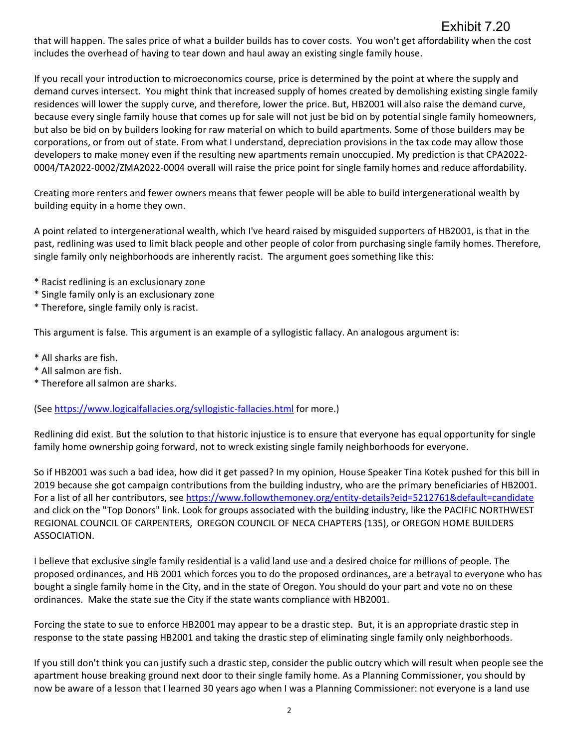# Exhibit 7.20

that will happen. The sales price of what a builder builds has to cover costs. You won't get affordability when the cost includes the overhead of having to tear down and haul away an existing single family house.

If you recall your introduction to microeconomics course, price is determined by the point at where the supply and demand curves intersect. You might think that increased supply of homes created by demolishing existing single family residences will lower the supply curve, and therefore, lower the price. But, HB2001 will also raise the demand curve, because every single family house that comes up for sale will not just be bid on by potential single family homeowners, but also be bid on by builders looking for raw material on which to build apartments. Some of those builders may be corporations, or from out of state. From what I understand, depreciation provisions in the tax code may allow those developers to make money even if the resulting new apartments remain unoccupied. My prediction is that CPA2022‐ 0004/TA2022‐0002/ZMA2022‐0004 overall will raise the price point for single family homes and reduce affordability.

Creating more renters and fewer owners means that fewer people will be able to build intergenerational wealth by building equity in a home they own.

A point related to intergenerational wealth, which I've heard raised by misguided supporters of HB2001, is that in the past, redlining was used to limit black people and other people of color from purchasing single family homes. Therefore, single family only neighborhoods are inherently racist. The argument goes something like this:

- \* Racist redlining is an exclusionary zone
- \* Single family only is an exclusionary zone
- \* Therefore, single family only is racist.

This argument is false. This argument is an example of a syllogistic fallacy. An analogous argument is:

- \* All sharks are fish.
- \* All salmon are fish.
- \* Therefore all salmon are sharks.

(See https://www.logicalfallacies.org/syllogistic‐fallacies.html for more.)

Redlining did exist. But the solution to that historic injustice is to ensure that everyone has equal opportunity for single family home ownership going forward, not to wreck existing single family neighborhoods for everyone.

So if HB2001 was such a bad idea, how did it get passed? In my opinion, House Speaker Tina Kotek pushed for this bill in 2019 because she got campaign contributions from the building industry, who are the primary beneficiaries of HB2001. For a list of all her contributors, see https://www.followthemoney.org/entity‐details?eid=5212761&default=candidate and click on the "Top Donors" link. Look for groups associated with the building industry, like the PACIFIC NORTHWEST REGIONAL COUNCIL OF CARPENTERS, OREGON COUNCIL OF NECA CHAPTERS (135), or OREGON HOME BUILDERS ASSOCIATION.

I believe that exclusive single family residential is a valid land use and a desired choice for millions of people. The proposed ordinances, and HB 2001 which forces you to do the proposed ordinances, are a betrayal to everyone who has bought a single family home in the City, and in the state of Oregon. You should do your part and vote no on these ordinances. Make the state sue the City if the state wants compliance with HB2001.

Forcing the state to sue to enforce HB2001 may appear to be a drastic step. But, it is an appropriate drastic step in response to the state passing HB2001 and taking the drastic step of eliminating single family only neighborhoods.

If you still don't think you can justify such a drastic step, consider the public outcry which will result when people see the apartment house breaking ground next door to their single family home. As a Planning Commissioner, you should by now be aware of a lesson that I learned 30 years ago when I was a Planning Commissioner: not everyone is a land use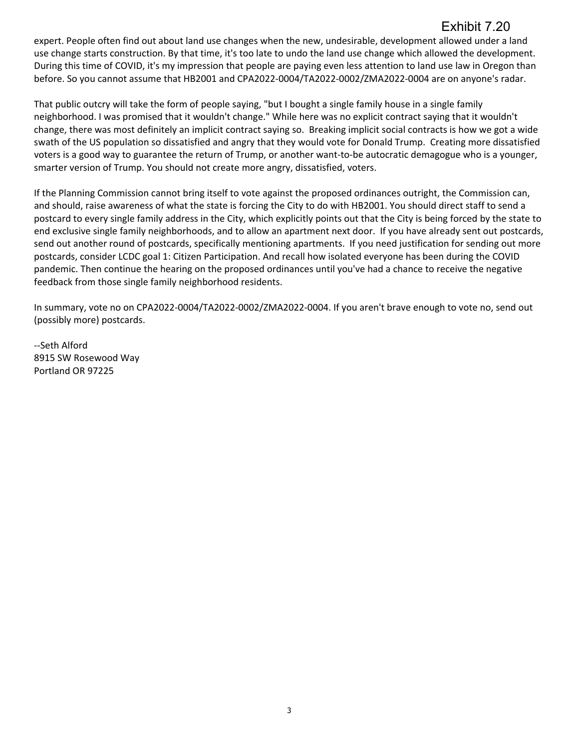# Exhibit 7.20

expert. People often find out about land use changes when the new, undesirable, development allowed under a land use change starts construction. By that time, it's too late to undo the land use change which allowed the development. During this time of COVID, it's my impression that people are paying even less attention to land use law in Oregon than before. So you cannot assume that HB2001 and CPA2022‐0004/TA2022‐0002/ZMA2022‐0004 are on anyone's radar.

That public outcry will take the form of people saying, "but I bought a single family house in a single family neighborhood. I was promised that it wouldn't change." While here was no explicit contract saying that it wouldn't change, there was most definitely an implicit contract saying so. Breaking implicit social contracts is how we got a wide swath of the US population so dissatisfied and angry that they would vote for Donald Trump. Creating more dissatisfied voters is a good way to guarantee the return of Trump, or another want-to-be autocratic demagogue who is a younger, smarter version of Trump. You should not create more angry, dissatisfied, voters.

If the Planning Commission cannot bring itself to vote against the proposed ordinances outright, the Commission can, and should, raise awareness of what the state is forcing the City to do with HB2001. You should direct staff to send a postcard to every single family address in the City, which explicitly points out that the City is being forced by the state to end exclusive single family neighborhoods, and to allow an apartment next door. If you have already sent out postcards, send out another round of postcards, specifically mentioning apartments. If you need justification for sending out more postcards, consider LCDC goal 1: Citizen Participation. And recall how isolated everyone has been during the COVID pandemic. Then continue the hearing on the proposed ordinances until you've had a chance to receive the negative feedback from those single family neighborhood residents.

In summary, vote no on CPA2022‐0004/TA2022‐0002/ZMA2022‐0004. If you aren't brave enough to vote no, send out (possibly more) postcards.

‐‐Seth Alford 8915 SW Rosewood Way Portland OR 97225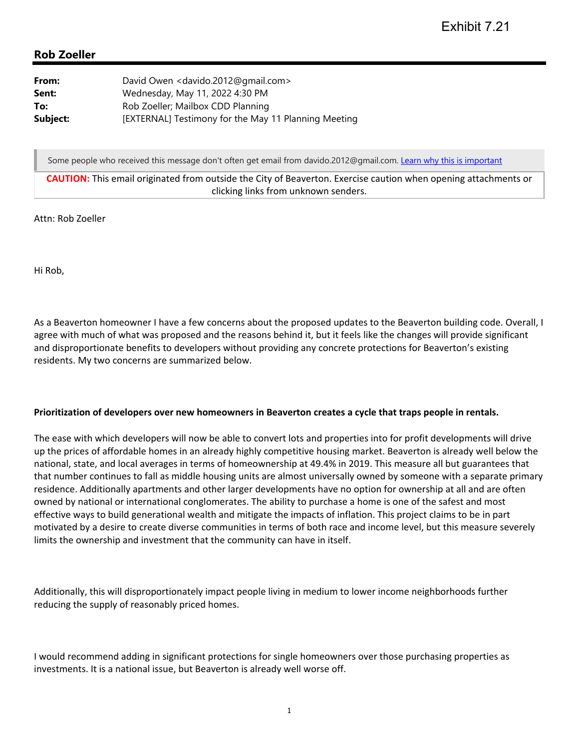| From:    | David Owen <davido.2012@gmail.com></davido.2012@gmail.com> |
|----------|------------------------------------------------------------|
| Sent:    | Wednesday, May 11, 2022 4:30 PM                            |
| To:      | Rob Zoeller; Mailbox CDD Planning                          |
| Subject: | [EXTERNAL] Testimony for the May 11 Planning Meeting       |

Some people who received this message don't often get email from davido.2012@gmail.com. Learn why this is important

**CAUTION:** This email originated from outside the City of Beaverton. Exercise caution when opening attachments or clicking links from unknown senders.

Attn: Rob Zoeller

Hi Rob,

As a Beaverton homeowner I have a few concerns about the proposed updates to the Beaverton building code. Overall, I agree with much of what was proposed and the reasons behind it, but it feels like the changes will provide significant and disproportionate benefits to developers without providing any concrete protections for Beaverton's existing residents. My two concerns are summarized below.

#### **Prioritization of developers over new homeowners in Beaverton creates a cycle that traps people in rentals.**

The ease with which developers will now be able to convert lots and properties into for profit developments will drive up the prices of affordable homes in an already highly competitive housing market. Beaverton is already well below the national, state, and local averages in terms of homeownership at 49.4% in 2019. This measure all but guarantees that that number continues to fall as middle housing units are almost universally owned by someone with a separate primary residence. Additionally apartments and other larger developments have no option for ownership at all and are often owned by national or international conglomerates. The ability to purchase a home is one of the safest and most effective ways to build generational wealth and mitigate the impacts of inflation. This project claims to be in part motivated by a desire to create diverse communities in terms of both race and income level, but this measure severely limits the ownership and investment that the community can have in itself.

Additionally, this will disproportionately impact people living in medium to lower income neighborhoods further reducing the supply of reasonably priced homes.

I would recommend adding in significant protections for single homeowners over those purchasing properties as investments. It is a national issue, but Beaverton is already well worse off.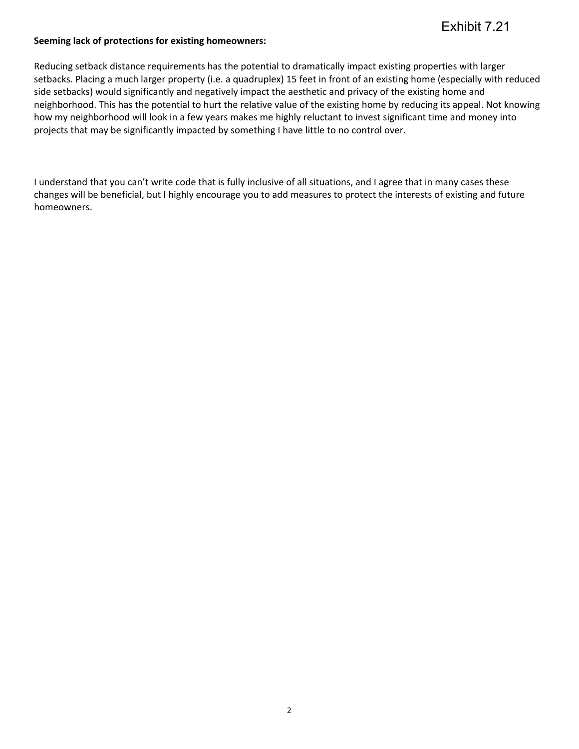#### **Seeming lack of protections for existing homeowners:**

Reducing setback distance requirements has the potential to dramatically impact existing properties with larger setbacks. Placing a much larger property (i.e. a quadruplex) 15 feet in front of an existing home (especially with reduced side setbacks) would significantly and negatively impact the aesthetic and privacy of the existing home and neighborhood. This has the potential to hurt the relative value of the existing home by reducing its appeal. Not knowing how my neighborhood will look in a few years makes me highly reluctant to invest significant time and money into projects that may be significantly impacted by something I have little to no control over.

I understand that you can't write code that is fully inclusive of all situations, and I agree that in many cases these changes will be beneficial, but I highly encourage you to add measures to protect the interests of existing and future homeowners.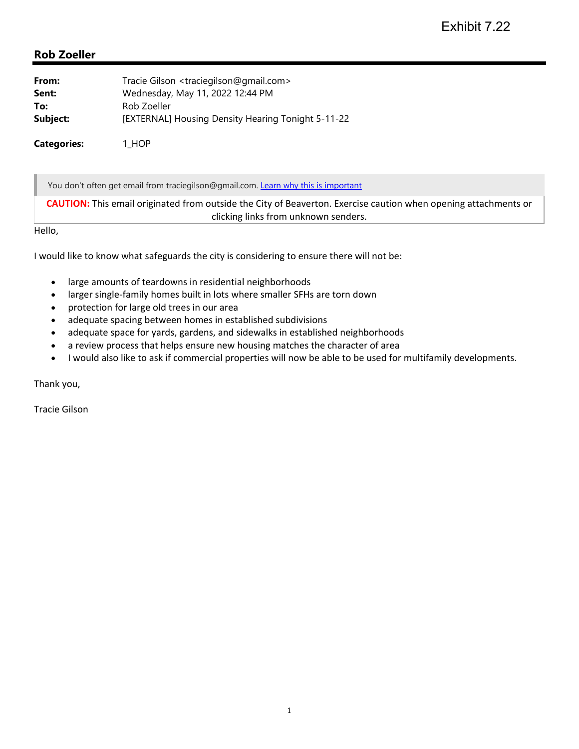| From:              | Tracie Gilson <traciegilson@gmail.com></traciegilson@gmail.com> |
|--------------------|-----------------------------------------------------------------|
| Sent:              | Wednesday, May 11, 2022 12:44 PM                                |
| To:                | Rob Zoeller                                                     |
| Subject:           | [EXTERNAL] Housing Density Hearing Tonight 5-11-22              |
| <b>Categories:</b> | 1 HOP                                                           |

You don't often get email from traciegilson@gmail.com. Learn why this is important

**CAUTION:** This email originated from outside the City of Beaverton. Exercise caution when opening attachments or clicking links from unknown senders.

Hello,

I would like to know what safeguards the city is considering to ensure there will not be:

- large amounts of teardowns in residential neighborhoods
- larger single‐family homes built in lots where smaller SFHs are torn down
- protection for large old trees in our area
- adequate spacing between homes in established subdivisions
- adequate space for yards, gardens, and sidewalks in established neighborhoods
- a review process that helps ensure new housing matches the character of area
- I would also like to ask if commercial properties will now be able to be used for multifamily developments.

Thank you,

Tracie Gilson